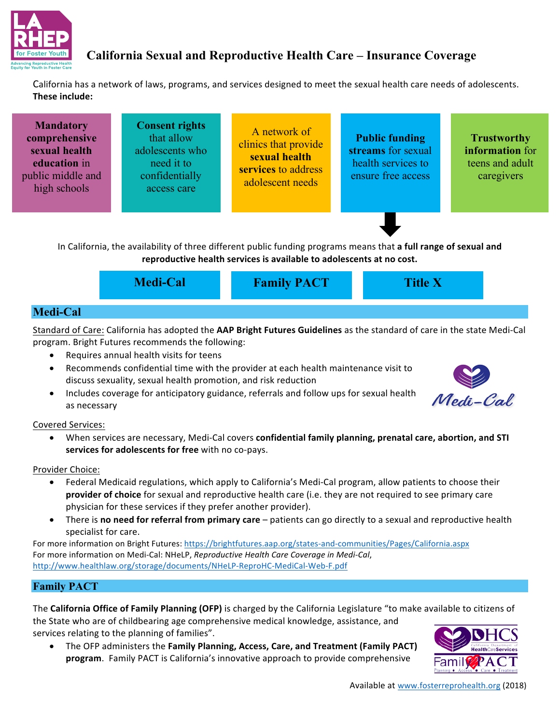

## **California Sexual and Reproductive Health Care – Insurance Coverage**

California has a network of laws, programs, and services designed to meet the sexual health care needs of adolescents. **These include:** 

| <b>Mandatory</b><br>comprehensive<br>sexual health<br>education in<br>public middle and<br>high schools | <b>Consent rights</b><br>that allow<br>adolescents who<br>need it to<br>confidentially<br>access care | A network of<br>clinics that provide<br>sexual health<br>services to address<br>adolescent needs | <b>Public funding</b><br>streams for sexual<br>health services to<br>ensure free access | <b>Trustworthy</b><br>information for<br>teens and adult<br>caregivers |
|---------------------------------------------------------------------------------------------------------|-------------------------------------------------------------------------------------------------------|--------------------------------------------------------------------------------------------------|-----------------------------------------------------------------------------------------|------------------------------------------------------------------------|
|                                                                                                         |                                                                                                       |                                                                                                  |                                                                                         |                                                                        |

In California, the availability of three different public funding programs means that a full range of sexual and reproductive health services is available to adolescents at no cost.

|                 | <b>Medi-Cal</b> | <b>Family PACT</b> | <b>Title X</b> |  |
|-----------------|-----------------|--------------------|----------------|--|
| <b>Medi-Cal</b> |                 |                    |                |  |

Standard of Care: California has adopted the **AAP Bright Futures Guidelines** as the standard of care in the state Medi-Cal program. Bright Futures recommends the following:

- Requires annual health visits for teens
- Recommends confidential time with the provider at each health maintenance visit to discuss sexuality, sexual health promotion, and risk reduction
- Includes coverage for anticipatory guidance, referrals and follow ups for sexual health as necessary



Covered Services:

• When services are necessary, Medi-Cal covers **confidential family planning, prenatal care, abortion, and STI** services for adolescents for free with no co-pays.

Provider Choice:

- Federal Medicaid regulations, which apply to California's Medi-Cal program, allow patients to choose their **provider of choice** for sexual and reproductive health care (i.e. they are not required to see primary care physician for these services if they prefer another provider).
- There is **no need for referral from primary care** patients can go directly to a sexual and reproductive health specialist for care.

For more information on Bright Futures: https://brightfutures.aap.org/states-and-communities/Pages/California.aspx For more information on Medi-Cal: NHeLP, *Reproductive Health Care Coverage in Medi-Cal*, http://www.healthlaw.org/storage/documents/NHeLP-ReproHC-MediCal-Web-F.pdf

## **Family PACT**

The **California Office of Family Planning (OFP)** is charged by the California Legislature "to make available to citizens of the State who are of childbearing age comprehensive medical knowledge, assistance, and services relating to the planning of families".

The OFP administers the **Family Planning, Access, Care, and Treatment (Family PACT)** program. Family PACT is California's innovative approach to provide comprehensive



Available at www.fosterreprohealth.org (2018)